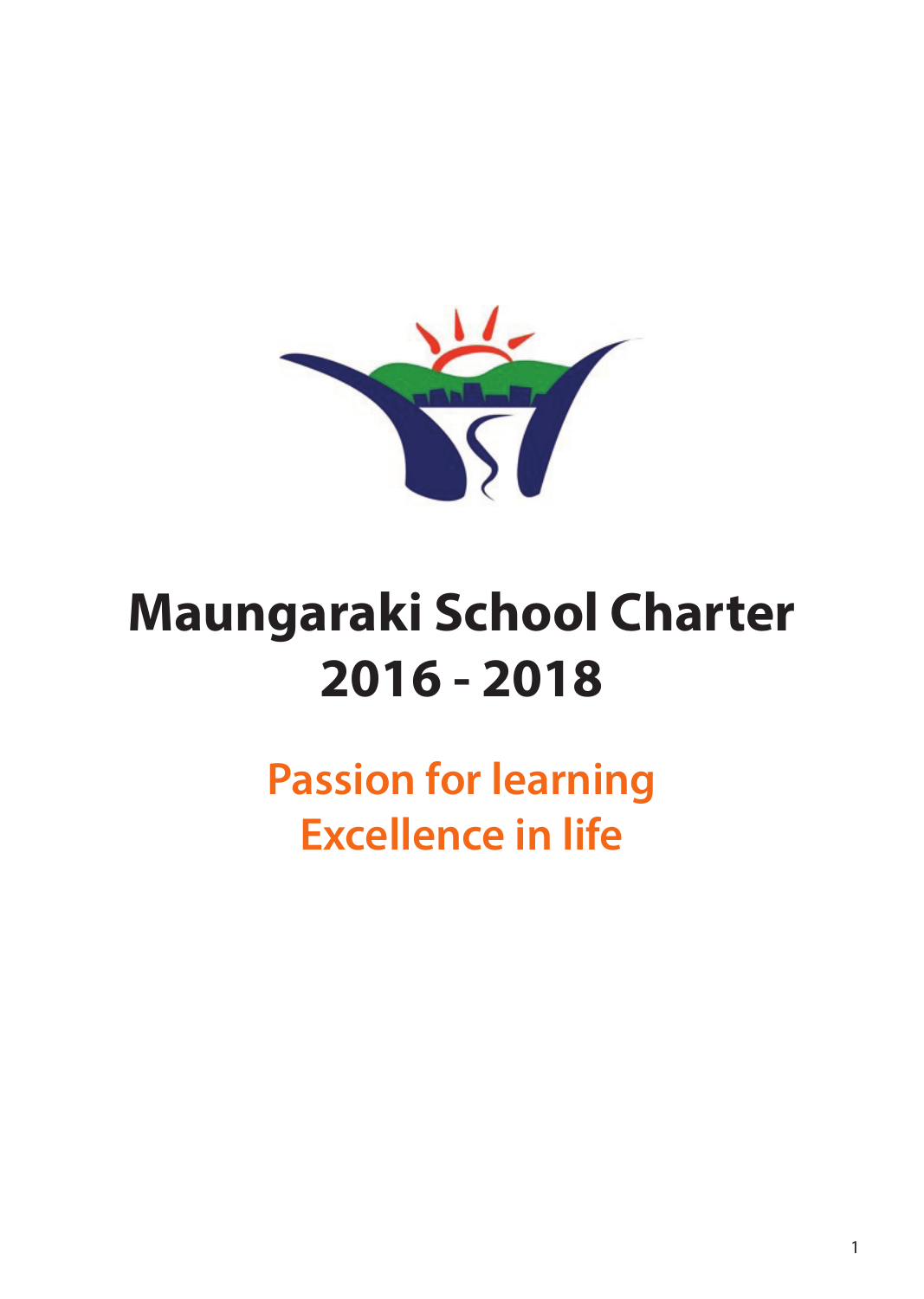

# **Maungaraki School Charter 2016 - 2018**

**Passion for learning Excellence in life**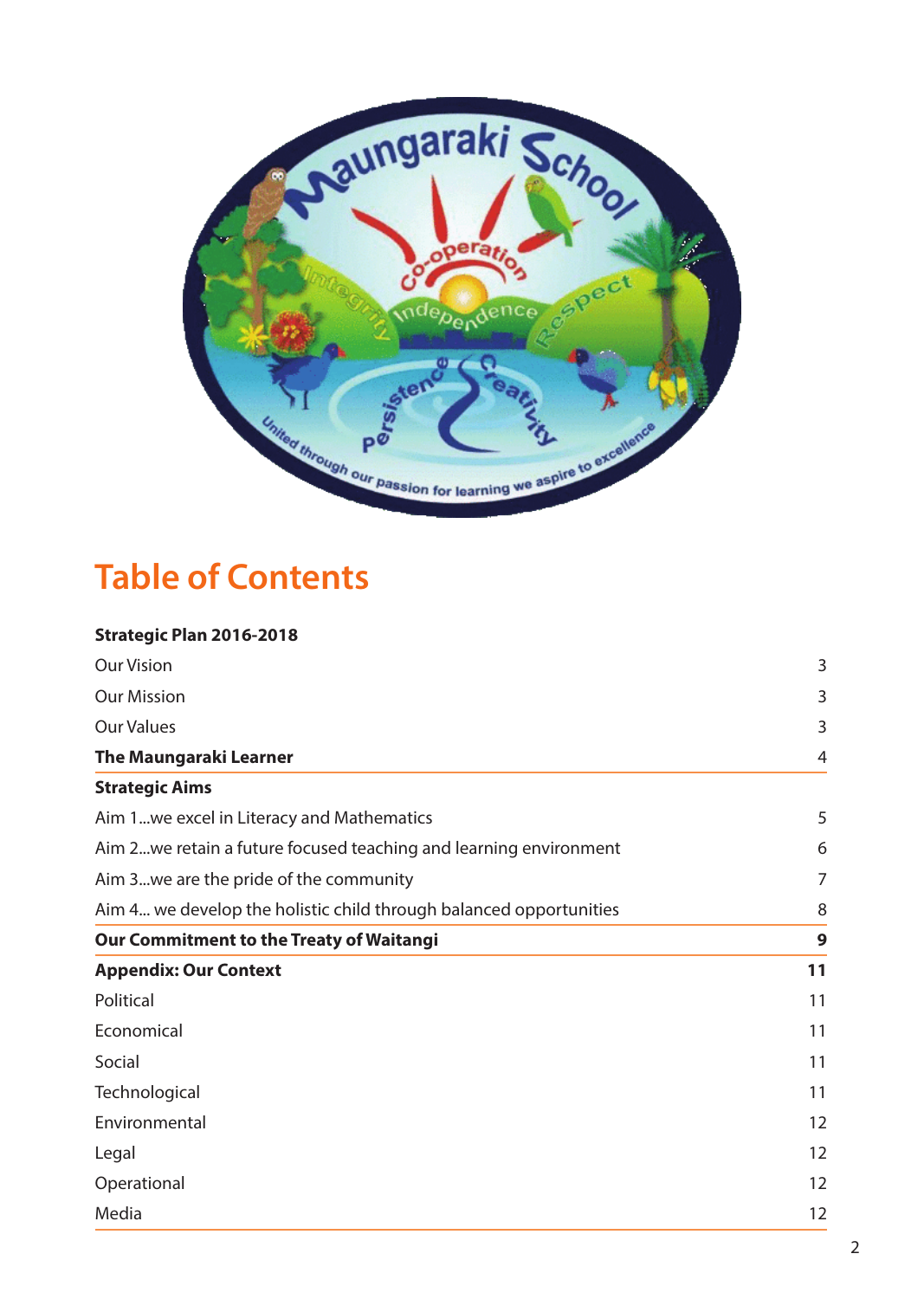

# **Table of Contents**

| <b>Our Vision</b>                                                  | 3              |
|--------------------------------------------------------------------|----------------|
|                                                                    |                |
| <b>Our Mission</b>                                                 | 3              |
| <b>Our Values</b>                                                  | 3              |
| <b>The Maungaraki Learner</b>                                      | $\overline{4}$ |
| <b>Strategic Aims</b>                                              |                |
| Aim 1we excel in Literacy and Mathematics                          | 5              |
| Aim 2 we retain a future focused teaching and learning environment | 6              |
| Aim 3we are the pride of the community                             | 7              |
| Aim 4 we develop the holistic child through balanced opportunities | 8              |
| <b>Our Commitment to the Treaty of Waitangi</b>                    | 9              |
| <b>Appendix: Our Context</b>                                       | 11             |
| Political                                                          | 11             |
| Economical                                                         | 11             |
| Social                                                             | 11             |
| Technological                                                      | 11             |
| Environmental                                                      | 12             |
| Legal                                                              | 12             |
| Operational                                                        | 12             |
| Media                                                              | 12             |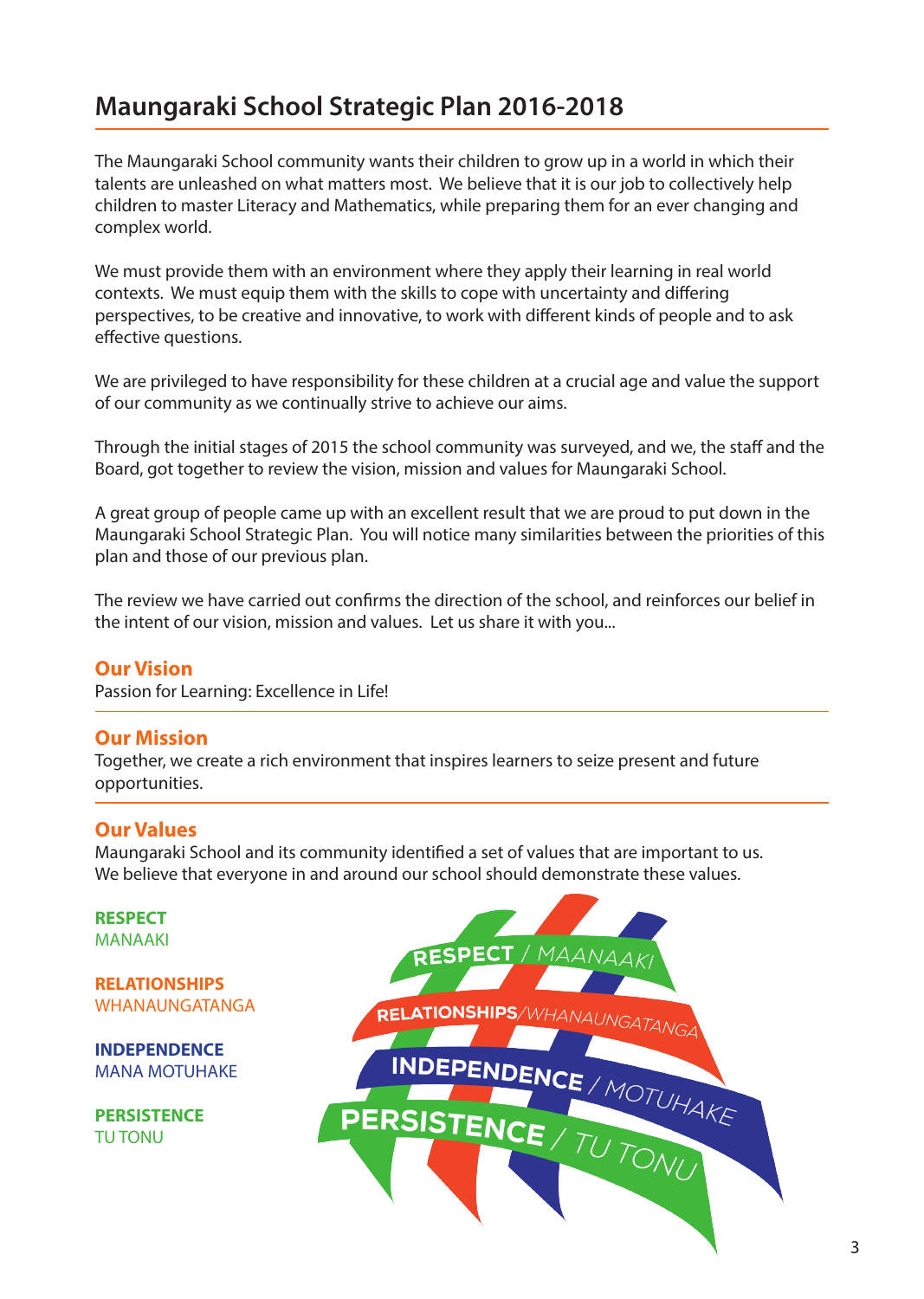# **Maungaraki School Strategic Plan 2016-2018**

The Maungaraki School community wants their children to grow up in a world in which their talents are unleashed on what matters most. We believe that it is our job to collectively help children to master Literacy and Mathematics, while preparing them for an ever changing and complex world.

We must provide them with an environment where they apply their learning in real world contexts. We must equip them with the skills to cope with uncertainty and differing perspectives, to be creative and innovative, to work with different kinds of people and to ask effective questions.

We are privileged to have responsibility for these children at a crucial age and value the support of our community as we continually strive to achieve our aims.

Through the initial stages of 2015 the school community was surveyed, and we, the staff and the Board, got together to review the vision, mission and values for Maungaraki School.

A great group of people came up with an excellent result that we are proud to put down in the Maungaraki School Strategic Plan. You will notice many similarities between the priorities of this plan and those of our previous plan.

The review we have carried out confirms the direction of the school, and reinforces our belief in the intent of our vision, mission and values. Let us share it with you...

#### **Our Vision**

Passion for Learning: Excellence in Life!

#### **Our Mission**

Together, we create a rich environment that inspires learners to seize present and future opportunities.

#### **Our Values**

Maungaraki School and its community identified a set of values that are important to us. We believe that everyone in and around our school should demonstrate these values.

**RESPECT** MANAAKI

**RELATIONSHIPS** WHANAUNGATANGA

**INDEPENDENCE** MANA MOTUHAKE

**PERSISTENCE** TU TONU

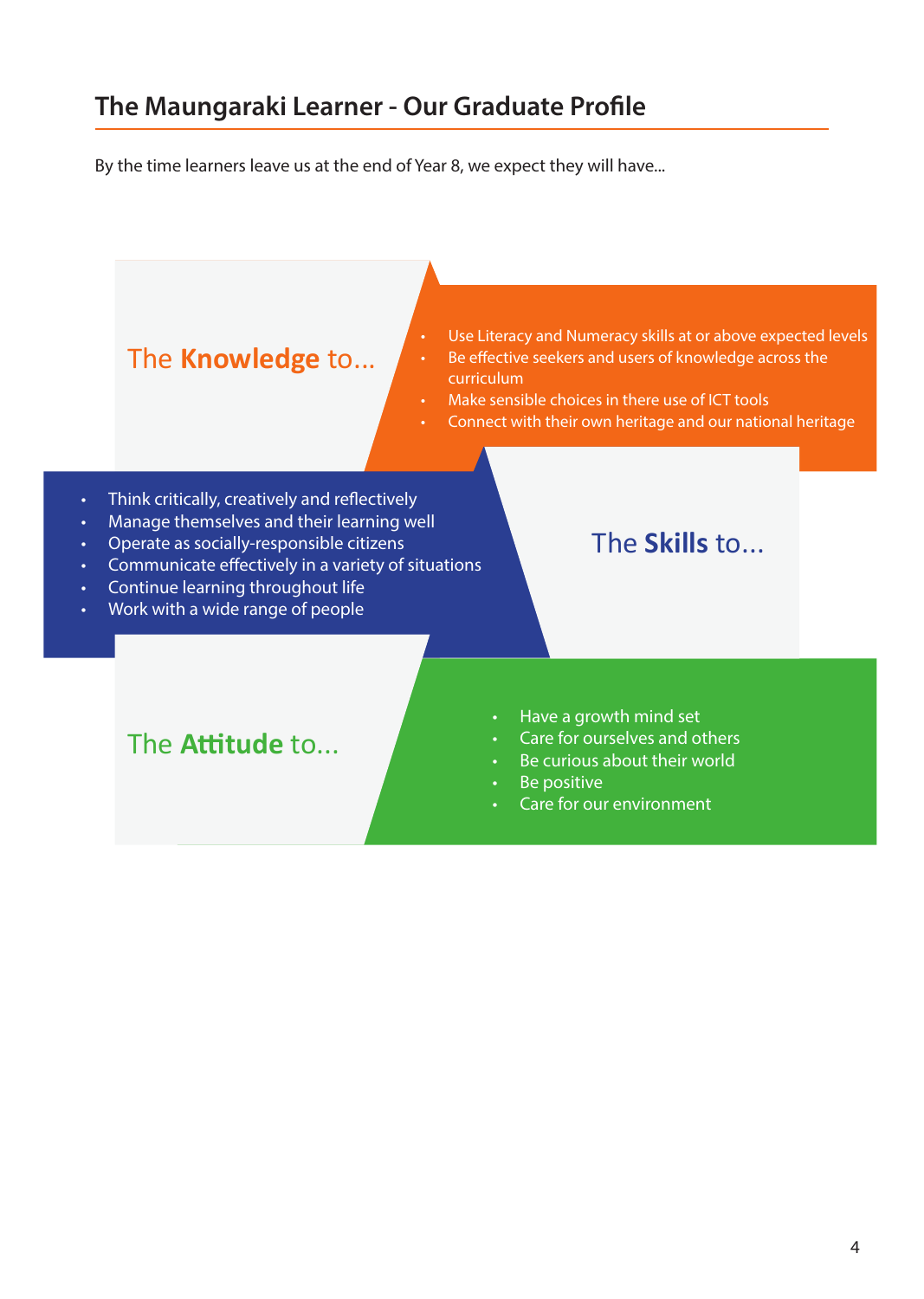# **The Maungaraki Learner - Our Graduate Profile**

By the time learners leave us at the end of Year 8, we expect they will have...

## The **Knowledge** to...

- Use Literacy and Numeracy skills at or above expected levels
- Be effective seekers and users of knowledge across the curriculum
- Make sensible choices in there use of ICT tools
- Connect with their own heritage and our national heritage
- • Think critically, creatively and reflectively
- • Manage themselves and their learning well
- Operate as socially-responsible citizens
- Communicate effectively in a variety of situations
- **Continue learning throughout life**
- Work with a wide range of people

### The **Skills** to...

- Have a growth mind set
- Care for ourselves and others
- Be curious about their world
- Be positive
- Care for our environment

### The **Attitude** to...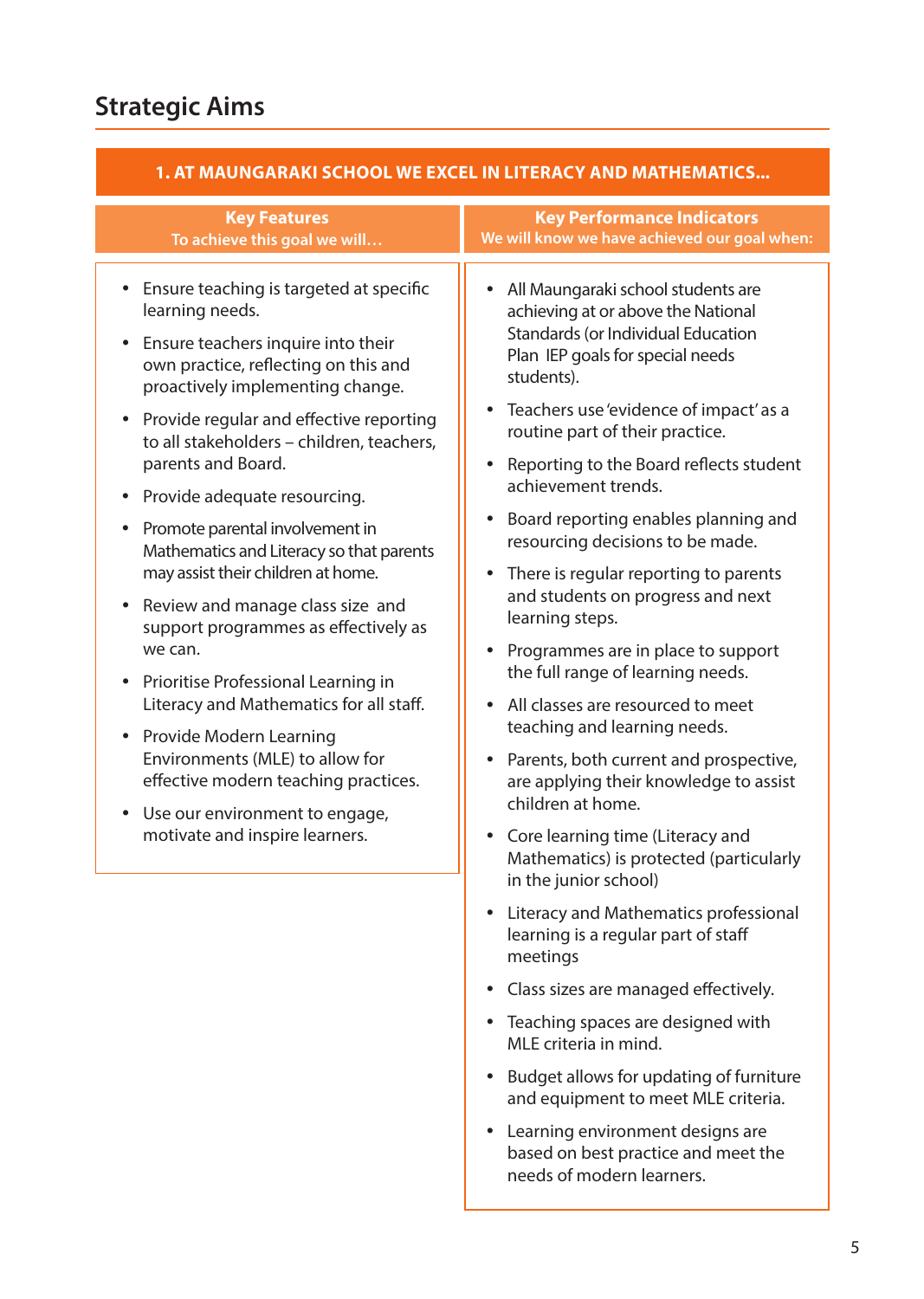| <b>Key Features</b><br>To achieve this goal we will                                                                                                                                                                                                                                                                                                                                                                                                                                                                                                                                                                                                                                                                                                                                                                          | <b>Key Performance Indicators</b><br>We will know we have achieved our goal when:                                                                                                                                                                                                                                                                                                                                                                                                                                                                                                                                                                                                                                                                                                                                                                                                                                 |  |  |
|------------------------------------------------------------------------------------------------------------------------------------------------------------------------------------------------------------------------------------------------------------------------------------------------------------------------------------------------------------------------------------------------------------------------------------------------------------------------------------------------------------------------------------------------------------------------------------------------------------------------------------------------------------------------------------------------------------------------------------------------------------------------------------------------------------------------------|-------------------------------------------------------------------------------------------------------------------------------------------------------------------------------------------------------------------------------------------------------------------------------------------------------------------------------------------------------------------------------------------------------------------------------------------------------------------------------------------------------------------------------------------------------------------------------------------------------------------------------------------------------------------------------------------------------------------------------------------------------------------------------------------------------------------------------------------------------------------------------------------------------------------|--|--|
| Ensure teaching is targeted at specific<br>learning needs.<br>Ensure teachers inquire into their<br>own practice, reflecting on this and<br>proactively implementing change.<br>Provide regular and effective reporting<br>$\bullet$<br>to all stakeholders - children, teachers,<br>parents and Board.<br>Provide adequate resourcing.<br>Promote parental involvement in<br>Mathematics and Literacy so that parents<br>may assist their children at home.<br>Review and manage class size and<br>support programmes as effectively as<br>we can.<br>Prioritise Professional Learning in<br>Literacy and Mathematics for all staff.<br>Provide Modern Learning<br>Environments (MLE) to allow for<br>effective modern teaching practices.<br>Use our environment to engage,<br>$\bullet$<br>motivate and inspire learners. | All Maungaraki school students are<br>$\bullet$<br>achieving at or above the National<br>Standards (or Individual Education<br>Plan IEP goals for special needs<br>students).<br>Teachers use 'evidence of impact' as a<br>$\bullet$<br>routine part of their practice.<br>Reporting to the Board reflects student<br>achievement trends.<br>Board reporting enables planning and<br>$\bullet$<br>resourcing decisions to be made.<br>There is regular reporting to parents<br>and students on progress and next<br>learning steps.<br>Programmes are in place to support<br>the full range of learning needs.<br>All classes are resourced to meet<br>$\bullet$<br>teaching and learning needs.<br>Parents, both current and prospective,<br>are applying their knowledge to assist<br>children at home.<br>Core learning time (Literacy and<br>Mathematics) is protected (particularly<br>in the junior school) |  |  |
|                                                                                                                                                                                                                                                                                                                                                                                                                                                                                                                                                                                                                                                                                                                                                                                                                              | Literacy and Mathematics professional<br>learning is a regular part of staff<br>meetings<br>Class sizes are managed effectively.<br>Teaching spaces are designed with<br>MLE criteria in mind.<br>Budget allows for updating of furniture<br>and equipment to meet MLE criteria.<br>Learning environment designs are<br>based on best practice and meet the                                                                                                                                                                                                                                                                                                                                                                                                                                                                                                                                                       |  |  |

 needs of modern learners.

#### **1. At Maungaraki School we excel in Literacy and Mathematics...**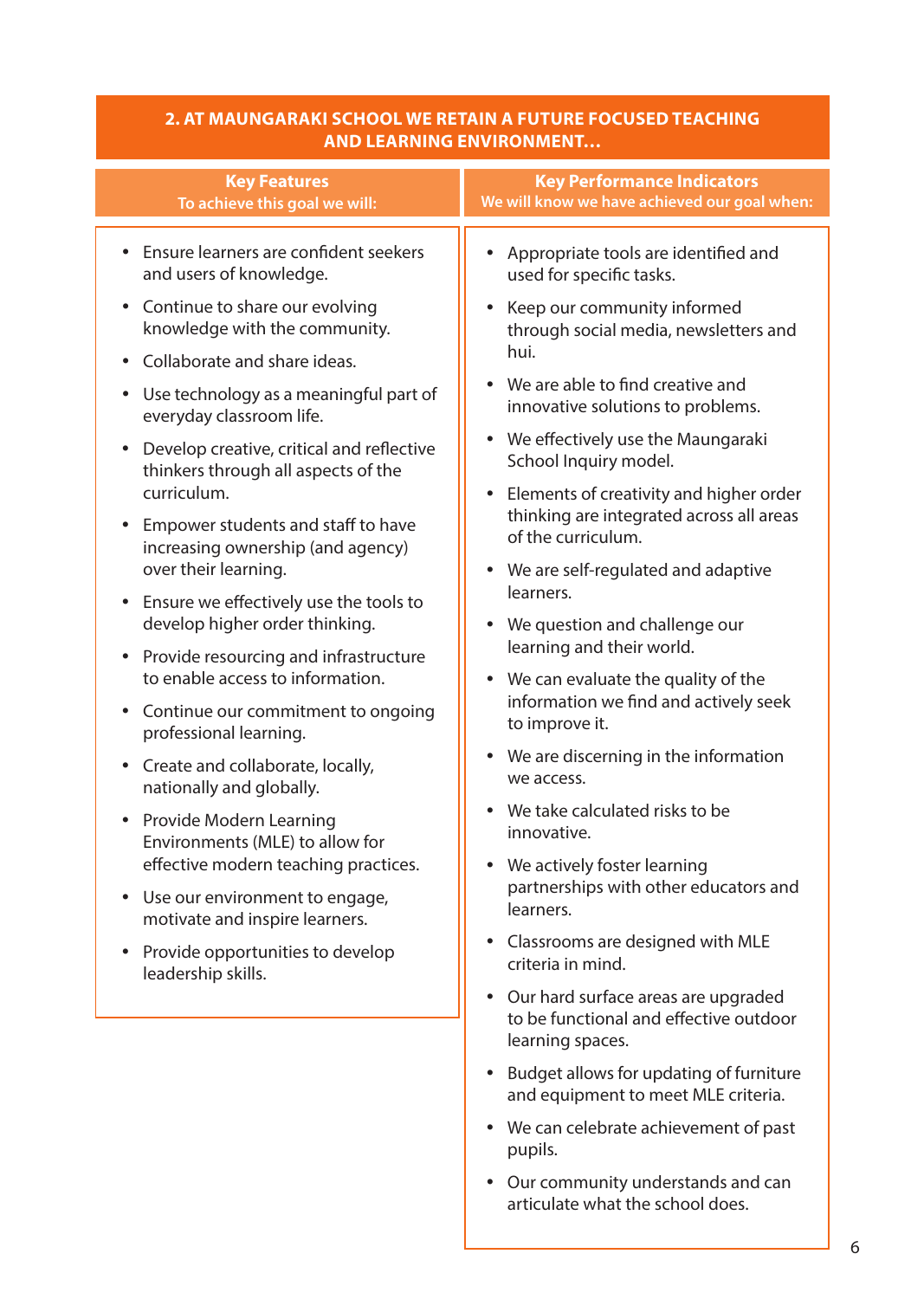| 2. AT MAUNGARAKI SCHOOL WE RETAIN A FUTURE FOCUSED TEACHING |
|-------------------------------------------------------------|
| <b>TAND LEARNING ENVIRONMENT</b>                            |

| <b>Key Features</b>                                                                              | <b>Key Performance Indicators</b>                                                           |
|--------------------------------------------------------------------------------------------------|---------------------------------------------------------------------------------------------|
| To achieve this goal we will:                                                                    | We will know we have achieved our goal when:                                                |
| Ensure learners are confident seekers                                                            | Appropriate tools are identified and                                                        |
| and users of knowledge.                                                                          | used for specific tasks.                                                                    |
| Continue to share our evolving                                                                   | Keep our community informed                                                                 |
| $\bullet$                                                                                        | $\bullet$                                                                                   |
| knowledge with the community.                                                                    | through social media, newsletters and                                                       |
| Collaborate and share ideas.<br>$\bullet$<br>Use technology as a meaningful part of<br>$\bullet$ | hui.<br>We are able to find creative and<br>$\bullet$                                       |
| everyday classroom life.                                                                         | innovative solutions to problems.                                                           |
| Develop creative, critical and reflective                                                        | We effectively use the Maungaraki                                                           |
| $\bullet$                                                                                        | $\bullet$                                                                                   |
| thinkers through all aspects of the<br>curriculum.                                               | School Inquiry model.<br>Elements of creativity and higher order<br>$\bullet$               |
| Empower students and staff to have                                                               | thinking are integrated across all areas                                                    |
| increasing ownership (and agency)                                                                | of the curriculum.                                                                          |
| over their learning.<br>Ensure we effectively use the tools to<br>$\bullet$                      | • We are self-regulated and adaptive<br>learners.                                           |
| develop higher order thinking.                                                                   | We question and challenge our                                                               |
| Provide resourcing and infrastructure                                                            | $\bullet$                                                                                   |
| $\bullet$                                                                                        | learning and their world.                                                                   |
| to enable access to information.                                                                 | We can evaluate the quality of the                                                          |
| Continue our commitment to ongoing                                                               | $\bullet$                                                                                   |
| $\bullet$                                                                                        | information we find and actively seek                                                       |
| professional learning.                                                                           | to improve it.                                                                              |
| Create and collaborate, locally,                                                                 | We are discerning in the information                                                        |
| $\bullet$                                                                                        | $\bullet$                                                                                   |
| nationally and globally.                                                                         | we access.                                                                                  |
| Provide Modern Learning                                                                          | We take calculated risks to be                                                              |
| $\bullet$                                                                                        | $\bullet$                                                                                   |
| Environments (MLE) to allow for                                                                  | innovative.                                                                                 |
| effective modern teaching practices.                                                             | We actively foster learning                                                                 |
| Use our environment to engage,                                                                   | $\bullet$                                                                                   |
| $\bullet$                                                                                        | partnerships with other educators and                                                       |
| motivate and inspire learners.                                                                   | learners.                                                                                   |
| Provide opportunities to develop                                                                 | Classrooms are designed with MLE                                                            |
| $\bullet$                                                                                        | $\bullet$                                                                                   |
| leadership skills.                                                                               | criteria in mind.<br>Our hard surface areas are upgraded<br>$\bullet$                       |
|                                                                                                  | to be functional and effective outdoor<br>learning spaces.                                  |
|                                                                                                  | Budget allows for updating of furniture<br>$\bullet$<br>and equipment to meet MLE criteria. |
|                                                                                                  | • We can celebrate achievement of past                                                      |

 Our community understands and can articulate what the school does.

 pupils.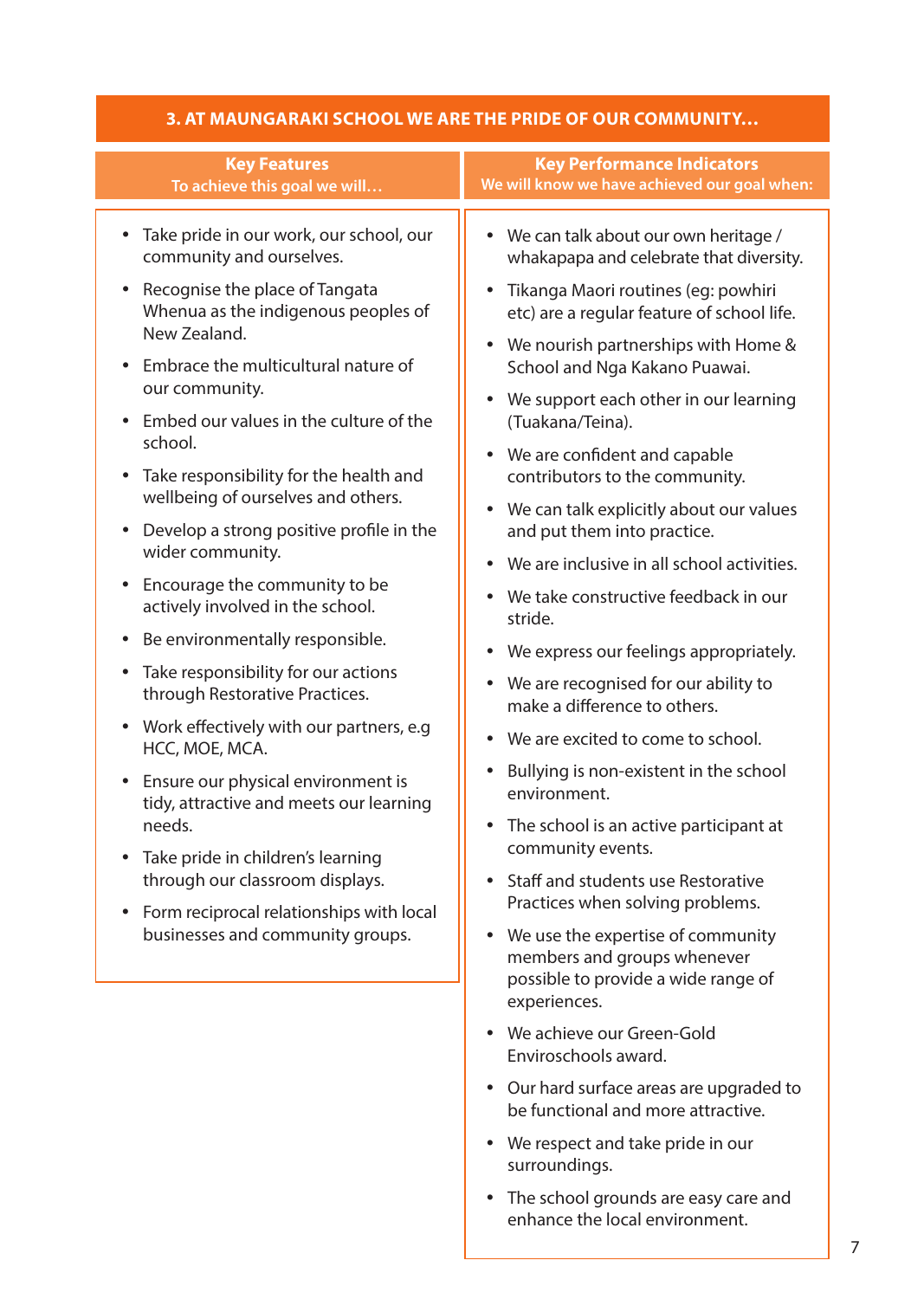| <b>Key Features</b><br>To achieve this goal we will                                                                                                                                                                                                                                                                                                                                                                                                                                                                                                                                                                                                                                    | <b>Key Performance Indicators</b><br>We will know we have achieved our goal when:                                                                                        |
|----------------------------------------------------------------------------------------------------------------------------------------------------------------------------------------------------------------------------------------------------------------------------------------------------------------------------------------------------------------------------------------------------------------------------------------------------------------------------------------------------------------------------------------------------------------------------------------------------------------------------------------------------------------------------------------|--------------------------------------------------------------------------------------------------------------------------------------------------------------------------|
| Take pride in our work, our school, our<br>$\bullet$<br>community and ourselves.<br>Recognise the place of Tangata<br>$\bullet$<br>Whenua as the indigenous peoples of<br>New Zealand.<br>Embrace the multicultural nature of<br>$\bullet$<br>our community.                                                                                                                                                                                                                                                                                                                                                                                                                           | We can talk about our own heritage /<br>$\bullet$<br>whakapapa and celebrate that diversity.<br>Tikanga Maori routines (eg: powhiri<br>$\bullet$                         |
|                                                                                                                                                                                                                                                                                                                                                                                                                                                                                                                                                                                                                                                                                        | etc) are a regular feature of school life.<br>We nourish partnerships with Home &<br>$\bullet$<br>School and Nga Kakano Puawai.                                          |
| Embed our values in the culture of the<br>$\bullet$<br>school.<br>Take responsibility for the health and<br>$\bullet$                                                                                                                                                                                                                                                                                                                                                                                                                                                                                                                                                                  | We support each other in our learning<br>$\bullet$<br>(Tuakana/Teina).<br>We are confident and capable<br>$\bullet$<br>contributors to the community.                    |
| wellbeing of ourselves and others.<br>Develop a strong positive profile in the<br>$\bullet$<br>wider community.<br>Encourage the community to be<br>$\bullet$<br>actively involved in the school.<br>Be environmentally responsible.<br>$\bullet$<br>Take responsibility for our actions<br>٠<br>through Restorative Practices.<br>Work effectively with our partners, e.g<br>$\bullet$<br>HCC, MOE, MCA.<br>Ensure our physical environment is<br>$\bullet$<br>tidy, attractive and meets our learning<br>needs.<br>Take pride in children's learning<br>through our classroom displays.<br>Form reciprocal relationships with local<br>$\bullet$<br>businesses and community groups. | We can talk explicitly about our values<br>$\bullet$<br>and put them into practice.<br>We are inclusive in all school activities.<br>$\bullet$                           |
|                                                                                                                                                                                                                                                                                                                                                                                                                                                                                                                                                                                                                                                                                        | We take constructive feedback in our<br>stride.                                                                                                                          |
|                                                                                                                                                                                                                                                                                                                                                                                                                                                                                                                                                                                                                                                                                        | We express our feelings appropriately.<br>$\bullet$<br>We are recognised for our ability to<br>$\bullet$<br>make a difference to others.                                 |
|                                                                                                                                                                                                                                                                                                                                                                                                                                                                                                                                                                                                                                                                                        | We are excited to come to school.<br>$\bullet$<br>Bullying is non-existent in the school<br>$\bullet$<br>environment.                                                    |
|                                                                                                                                                                                                                                                                                                                                                                                                                                                                                                                                                                                                                                                                                        | The school is an active participant at<br>community events.<br>Staff and students use Restorative<br>$\bullet$                                                           |
|                                                                                                                                                                                                                                                                                                                                                                                                                                                                                                                                                                                                                                                                                        | Practices when solving problems.<br>We use the expertise of community<br>$\bullet$<br>members and groups whenever<br>possible to provide a wide range of<br>experiences. |
|                                                                                                                                                                                                                                                                                                                                                                                                                                                                                                                                                                                                                                                                                        | We achieve our Green-Gold<br>$\bullet$<br>Enviroschools award.                                                                                                           |
|                                                                                                                                                                                                                                                                                                                                                                                                                                                                                                                                                                                                                                                                                        | • Our hard surface areas are upgraded to<br>be functional and more attractive.                                                                                           |
|                                                                                                                                                                                                                                                                                                                                                                                                                                                                                                                                                                                                                                                                                        | We respect and take pride in our<br>$\bullet$<br>surroundings.                                                                                                           |

#### **3. At Maungaraki School we are the pride of our community…**

 The school grounds are easy care and enhance the local environment.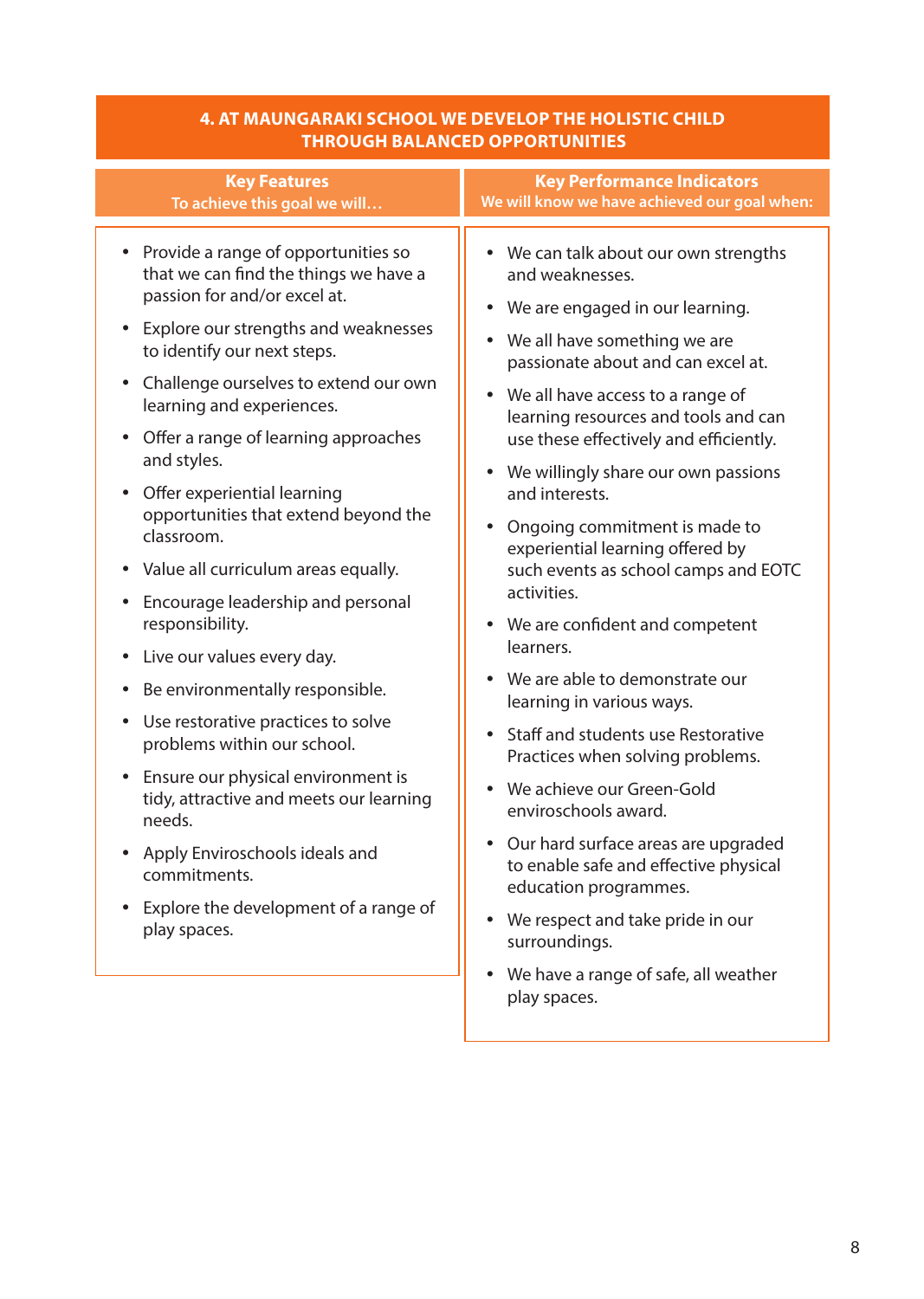# **4. At Maungaraki School we develop the holistic child**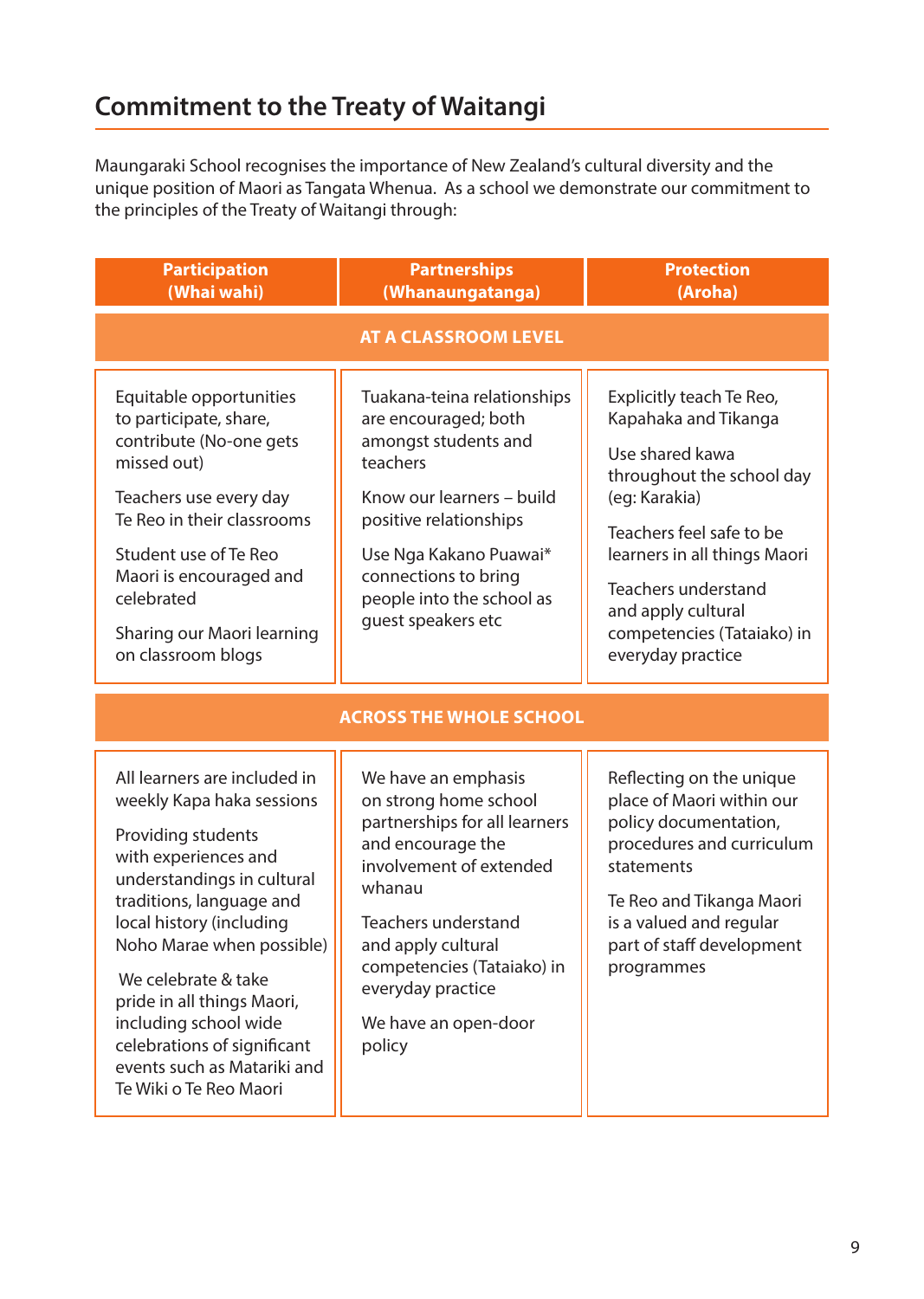Maungaraki School recognises the importance of New Zealand's cultural diversity and the unique position of Maori as Tangata Whenua. As a school we demonstrate our commitment to the principles of the Treaty of Waitangi through:

| <b>Participation</b><br>(Whai wahi)                                                                                                                                                                                                                                                                                                                                                              | <b>Partnerships</b><br>(Whanaungatanga)                                                                                                                                                                                                                                   | <b>Protection</b><br>(Aroha)                                                                                                                                                                                                                                                         |  |
|--------------------------------------------------------------------------------------------------------------------------------------------------------------------------------------------------------------------------------------------------------------------------------------------------------------------------------------------------------------------------------------------------|---------------------------------------------------------------------------------------------------------------------------------------------------------------------------------------------------------------------------------------------------------------------------|--------------------------------------------------------------------------------------------------------------------------------------------------------------------------------------------------------------------------------------------------------------------------------------|--|
| <b>AT A CLASSROOM LEVEL</b>                                                                                                                                                                                                                                                                                                                                                                      |                                                                                                                                                                                                                                                                           |                                                                                                                                                                                                                                                                                      |  |
| Equitable opportunities<br>to participate, share,<br>contribute (No-one gets<br>missed out)<br>Teachers use every day<br>Te Reo in their classrooms<br>Student use of Te Reo<br>Maori is encouraged and<br>celebrated<br>Sharing our Maori learning<br>on classroom blogs                                                                                                                        | Tuakana-teina relationships<br>are encouraged; both<br>amongst students and<br>teachers<br>Know our learners - build<br>positive relationships<br>Use Nga Kakano Puawai*<br>connections to bring<br>people into the school as<br>quest speakers etc                       | Explicitly teach Te Reo,<br>Kapahaka and Tikanga<br>Use shared kawa<br>throughout the school day<br>(eg: Karakia)<br>Teachers feel safe to be<br>learners in all things Maori<br><b>Teachers understand</b><br>and apply cultural<br>competencies (Tataiako) in<br>everyday practice |  |
| <b>ACROSS THE WHOLE SCHOOL</b>                                                                                                                                                                                                                                                                                                                                                                   |                                                                                                                                                                                                                                                                           |                                                                                                                                                                                                                                                                                      |  |
| All learners are included in<br>weekly Kapa haka sessions<br>Providing students<br>with experiences and<br>understandings in cultural<br>traditions, language and<br>local history (including<br>Noho Marae when possible)<br>We celebrate & take<br>pride in all things Maori,<br>including school wide<br>celebrations of significant<br>events such as Matariki and<br>Te Wiki o Te Reo Maori | We have an emphasis<br>on strong home school<br>partnerships for all learners<br>and encourage the<br>involvement of extended<br>whanau<br>Teachers understand<br>and apply cultural<br>competencies (Tataiako) in<br>everyday practice<br>We have an open-door<br>policy | Reflecting on the unique<br>place of Maori within our<br>policy documentation,<br>procedures and curriculum<br>statements<br>Te Reo and Tikanga Maori<br>is a valued and regular<br>part of staff development<br>programmes                                                          |  |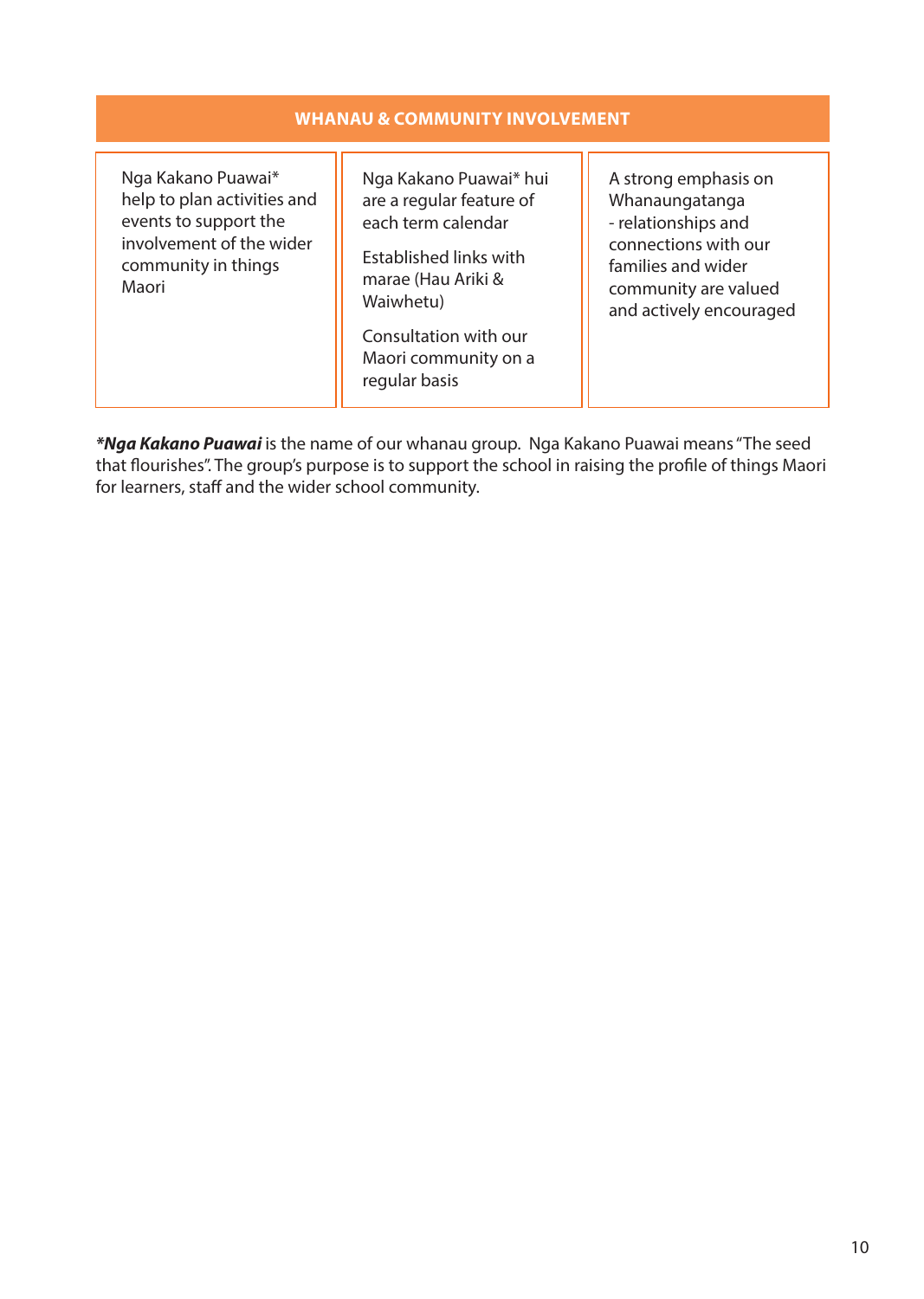| <b>WHANAU &amp; COMMUNITY INVOLVEMENT</b>                                                                                              |                                                                                                                                                                                                         |                                                                                                                                                                |  |
|----------------------------------------------------------------------------------------------------------------------------------------|---------------------------------------------------------------------------------------------------------------------------------------------------------------------------------------------------------|----------------------------------------------------------------------------------------------------------------------------------------------------------------|--|
| Nga Kakano Puawai*<br>help to plan activities and<br>events to support the<br>involvement of the wider<br>community in things<br>Maori | Nga Kakano Puawai* hui<br>are a regular feature of<br>each term calendar<br>Established links with<br>marae (Hau Ariki &<br>Waiwhetu)<br>Consultation with our<br>Maori community on a<br>regular basis | A strong emphasis on<br>Whanaungatanga<br>- relationships and<br>connections with our<br>families and wider<br>community are valued<br>and actively encouraged |  |

*\*Nga Kakano Puawai* is the name of our whanau group. Nga Kakano Puawai means"The seed that flourishes". The group's purpose is to support the school in raising the profile of things Maori for learners, staff and the wider school community.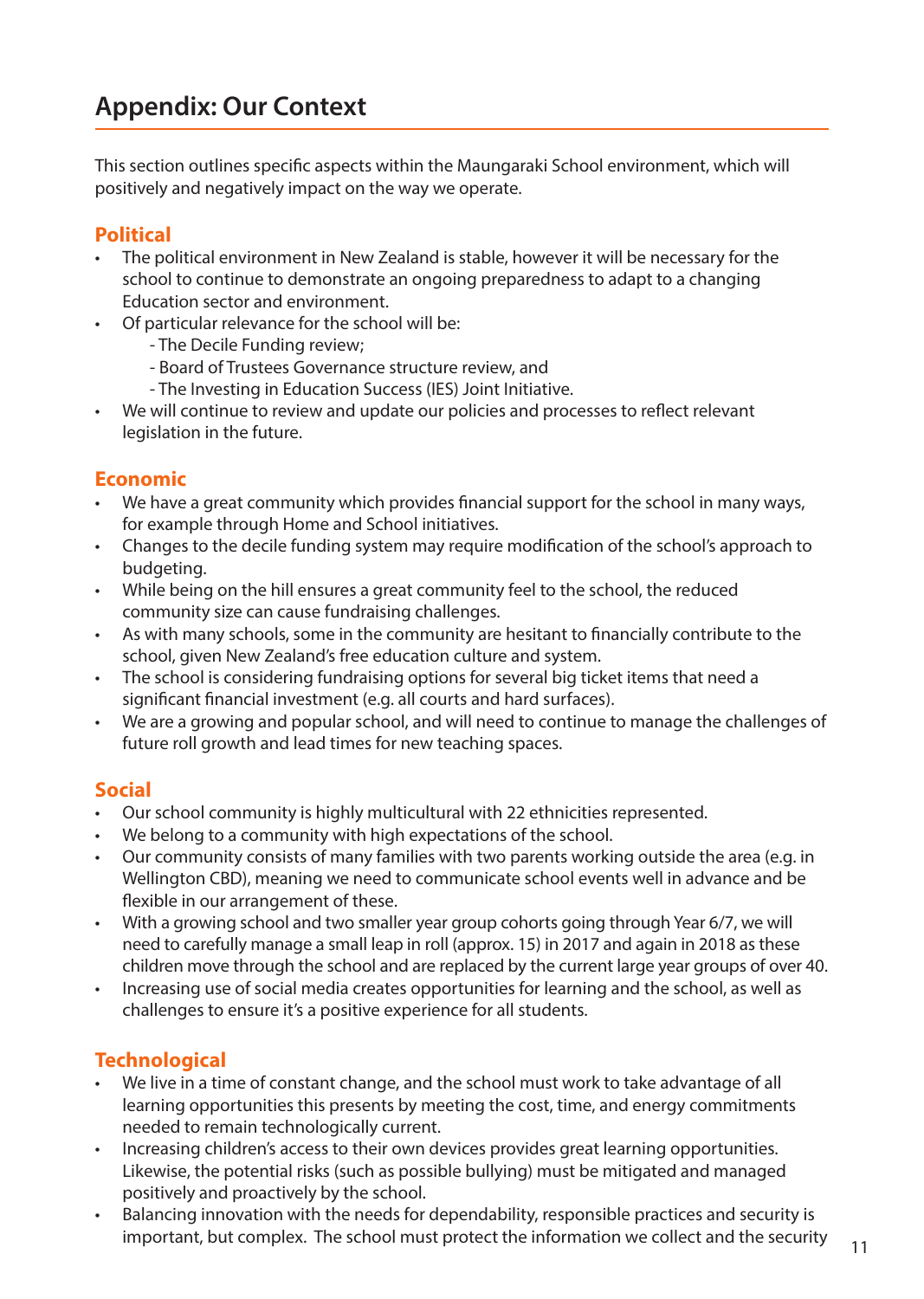This section outlines specific aspects within the Maungaraki School environment, which will positively and negatively impact on the way we operate.

#### **Political**

- The political environment in New Zealand is stable, however it will be necessary for the school to continue to demonstrate an ongoing preparedness to adapt to a changing Education sector and environment.
- Of particular relevance for the school will be:
	- The Decile Funding review;
	- Board of Trustees Governance structure review, and
	- The Investing in Education Success (IES) Joint Initiative.
- We will continue to review and update our policies and processes to reflect relevant legislation in the future.

#### **Economic**

- We have a great community which provides financial support for the school in many ways, for example through Home and School initiatives.
- Changes to the decile funding system may require modification of the school's approach to budgeting.
- While being on the hill ensures a great community feel to the school, the reduced community size can cause fundraising challenges.
- • As with many schools, some in the community are hesitant to financially contribute to the school, given New Zealand's free education culture and system.
- The school is considering fundraising options for several big ticket items that need a significant financial investment (e.g. all courts and hard surfaces).
- • We are a growing and popular school, and will need to continue to manage the challenges of future roll growth and lead times for new teaching spaces.

#### **Social**

- Our school community is highly multicultural with 22 ethnicities represented.
- We belong to a community with high expectations of the school.
- Our community consists of many families with two parents working outside the area (e.g. in Wellington CBD), meaning we need to communicate school events well in advance and be flexible in our arrangement of these.
- With a growing school and two smaller year group cohorts going through Year 6/7, we will need to carefully manage a small leap in roll (approx. 15) in 2017 and again in 2018 asthese children move through the school and are replaced by the current large year groups of over 40.
- Increasing use of social media creates opportunities for learning and the school, as well as challenges to ensure it's a positive experience for all students.

#### **Technological**

- We live in a time of constant change, and the school must work to take advantage of all learning opportunities this presents by meeting the cost, time, and energy commitments needed to remain technologically current.
- Increasing children's access to their own devices provides great learning opportunities. Likewise, the potential risks (such as possible bullying) must be mitigated and managed positively and proactively by the school.
- Balancing innovation with the needs for dependability, responsible practices and security is important, but complex. The school must protect the information we collect and the security